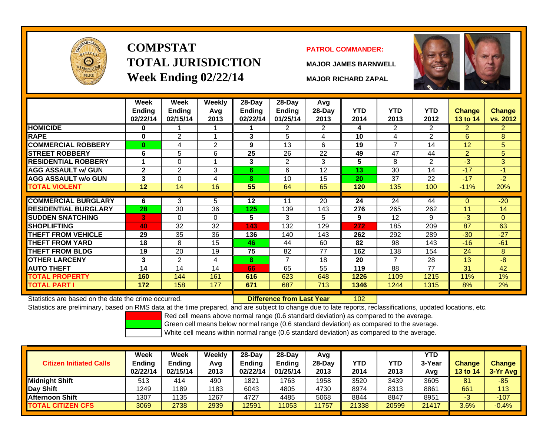

# **COMPSTATTOTAL JURISDICTIONWeek Ending 02/22/14 MAJOR RICHARD ZAPAL**

### **PATROL COMMANDER:**

**MAJOR JAMES BARNWELL**



102

|                             | Week<br><b>Ending</b><br>02/22/14 | Week<br><b>Ending</b><br>02/15/14 | <b>Weekly</b><br>Avg<br>2013 | $28-Day$<br>Ending<br>02/22/14 | $28-Day$<br><b>Ending</b><br>01/25/14 | Avg<br>28-Day<br>2013 | <b>YTD</b><br>2014 | <b>YTD</b><br>2013 | <b>YTD</b><br>2012 | <b>Change</b><br>13 to 14 | <b>Change</b><br>vs. 2012 |
|-----------------------------|-----------------------------------|-----------------------------------|------------------------------|--------------------------------|---------------------------------------|-----------------------|--------------------|--------------------|--------------------|---------------------------|---------------------------|
| <b>HOMICIDE</b>             | 0                                 |                                   |                              |                                | 2                                     | 2                     | 4                  | 2                  | 2                  | $\overline{2}$            | $\overline{2}$            |
| <b>RAPE</b>                 | $\bf{0}$                          | $\overline{2}$                    | и                            | 3                              | 5                                     | 4                     | 10                 | 4                  | 2                  | 6                         | 8                         |
| <b>COMMERCIAL ROBBERY</b>   | $\bf{0}$                          | 4                                 | 2                            | 9                              | 13                                    | 6                     | 19                 | $\overline{7}$     | 14                 | 12                        | 5                         |
| <b>STREET ROBBERY</b>       | 6                                 | 5                                 | 6                            | 25                             | 26                                    | 22                    | 49                 | 47                 | 44                 | $\overline{2}$            | 5                         |
| <b>RESIDENTIAL ROBBERY</b>  |                                   | $\Omega$                          |                              | $\mathbf{3}$                   | $\overline{2}$                        | 3                     | 5                  | 8                  | 2                  | $-3$                      | 3 <sup>1</sup>            |
| <b>AGG ASSAULT w/ GUN</b>   | $\mathbf{2}$                      | $\overline{2}$                    | 3                            | 6                              | 6                                     | 12                    | 13                 | 30                 | 14                 | $-17$                     | $-1$                      |
| <b>AGG ASSAULT w/o GUN</b>  | 3                                 | 0                                 | 4                            | 8                              | 10                                    | 15                    | 20                 | 37                 | 22                 | $-17$                     | $-2$                      |
| <b>TOTAL VIOLENT</b>        | 12                                | 14                                | 16                           | 55                             | 64                                    | 65                    | 120                | 135                | 100                | $-11%$                    | 20%                       |
| <b>COMMERCIAL BURGLARY</b>  |                                   |                                   |                              |                                | 11                                    |                       |                    |                    |                    |                           |                           |
|                             | 6                                 | 3                                 | 5                            | $12 \,$                        |                                       | 20                    | 24                 | 24                 | 44                 | $\Omega$                  | $-20$                     |
| <b>RESIDENTIAL BURGLARY</b> | 28                                | 30                                | 36                           | 125                            | 139                                   | 143                   | 276                | 265                | 262                | 11                        | 14                        |
| <b>SUDDEN SNATCHING</b>     | 3                                 | $\Omega$                          | $\Omega$                     | 5                              | 3                                     | 5                     | 9                  | 12                 | 9                  | $-3$                      | $\Omega$                  |
| <b>ISHOPLIFTING</b>         | 40                                | 32                                | 32                           | 143                            | 132                                   | 129                   | 272                | 185                | 209                | 87                        | 63                        |
| <b>THEFT FROM VEHICLE</b>   | 29                                | 35                                | 36                           | 136                            | 140                                   | 143                   | 262                | 292                | 289                | $-30$                     | $-27$                     |
| <b>THEFT FROM YARD</b>      | 18                                | 8                                 | 15                           | 46                             | 44                                    | 60                    | 82                 | 98                 | 143                | $-16$                     | $-61$                     |
| <b>THEFT FROM BLDG</b>      | 19                                | 20                                | 19                           | 75                             | 82                                    | 77                    | 162                | 138                | 154                | 24                        | 8                         |
| <b>OTHER LARCENY</b>        | 3                                 | $\mathfrak{p}$                    | 4                            | 8                              | 7                                     | 18                    | 20                 | $\overline{7}$     | 28                 | 13                        | -8                        |
| <b>AUTO THEFT</b>           | 14                                | 14                                | 14                           | 66                             | 65                                    | 55                    | 119                | 88                 | 77                 | 31                        | 42                        |
| <b>TOTAL PROPERTY</b>       | 160                               | 144                               | 161                          | 616                            | 623                                   | 648                   | 1226               | 1109               | 1215               | 11%                       | 1%                        |
| <b>TOTAL PART I</b>         | 172                               | 158                               | 177                          | 671                            | 687                                   | 713                   | 1346               | 1244               | 1315               | 8%                        | 2%                        |

Statistics are based on the date the crime occurred. **Difference from Last Year** 

Statistics are preliminary, based on RMS data at the time prepared, and are subject to change due to late reports, reclassifications, updated locations, etc.

Red cell means above normal range (0.6 standard deviation) as compared to the average.

Green cell means below normal range (0.6 standard deviation) as compared to the average.

| <b>Citizen Initiated Calls</b> | Week<br><b>Ending</b><br>02/22/14 | <b>Week</b><br><b>Ending</b><br>02/15/14 | Weekly<br>Avg<br>2013 | 28-Day<br><b>Ending</b><br>02/22/14 | $28-Day$<br><b>Ending</b><br>01/25/14 | Avg<br>28-Dav<br>2013 | YTD<br>2014 | YTD<br>2013 | <b>YTD</b><br>3-Year<br>Avg | <b>Change</b><br><b>13 to 14</b> | <b>Change</b><br>3-Yr Avg |
|--------------------------------|-----------------------------------|------------------------------------------|-----------------------|-------------------------------------|---------------------------------------|-----------------------|-------------|-------------|-----------------------------|----------------------------------|---------------------------|
| <b>I</b> Midniaht Shift        | 513                               | 414                                      | 490                   | 1821                                | 1763                                  | 1958                  | 3520        | 3439        | 3605                        | 81                               | $-85$                     |
| Day Shift                      | 1249                              | 1189                                     | 1183                  | 6043                                | 4805                                  | 4730                  | 8974        | 8313        | 8861                        | 661                              | 113                       |
| <b>Afternoon Shift</b>         | 1307                              | 135                                      | 1267                  | 4727                                | 4485                                  | 5068                  | 8844        | 8847        | 8951                        | -3                               | $-107$                    |
| <b>TOTAL CITIZEN CFS</b>       | 3069                              | 2738                                     | 2939                  | 2591                                | 11053                                 | 1757                  | 21338       | 20599       | 21417                       | 3.6%                             | $-0.4%$                   |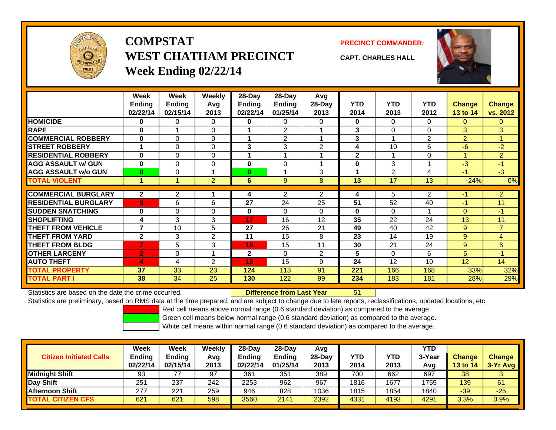

## **COMPSTATWEST CHATHAM PRECINCTWeek Ending 02/22/14**



**CAPT. CHARLES HALL**



|                             | Week             | Week     | Weekly         | 28-Day       | $28-Day$       | Avg            |              |                |                |                |                |
|-----------------------------|------------------|----------|----------------|--------------|----------------|----------------|--------------|----------------|----------------|----------------|----------------|
|                             | Ending           | Ending   | Avg            | Ending       | <b>Ending</b>  | 28-Day         | <b>YTD</b>   | <b>YTD</b>     | <b>YTD</b>     | <b>Change</b>  | <b>Change</b>  |
|                             | 02/22/14         | 02/15/14 | 2013           | 02/22/14     | 01/25/14       | 2013           | 2014         | 2013           | 2012           | 13 to 14       | vs. 2012       |
| <b>HOMICIDE</b>             | 0                | 0        | 0              | 0            | 0              | 0              | $\mathbf 0$  | $\mathbf{0}$   | 0              | $\mathbf{0}$   | 0              |
| <b>RAPE</b>                 | $\bf{0}$         |          | 0              |              | $\overline{2}$ |                | 3            | $\Omega$       | 0              | 3              | 3 <sup>1</sup> |
| <b>COMMERCIAL ROBBERY</b>   | $\bf{0}$         | 0        | 0              |              | $\overline{2}$ |                | 3            |                | $\overline{2}$ | $\overline{2}$ |                |
| <b>STREET ROBBERY</b>       |                  | 0        | $\mathbf 0$    | 3            | 3              | 2              | 4            | 10             | 6              | $-6$           | $-2$           |
| <b>RESIDENTIAL ROBBERY</b>  | $\bf{0}$         | $\Omega$ | 0              |              |                |                | $\mathbf 2$  |                | 0              | 4              | 2 <sup>1</sup> |
| <b>AGG ASSAULT w/ GUN</b>   | $\bf{0}$         | $\Omega$ | $\mathbf 0$    | $\bf{0}$     | $\Omega$       |                | $\bf{0}$     | 3              |                | $-3$           | $-1$           |
| <b>AGG ASSAULT w/o GUN</b>  | $\bf{0}$         | 0        |                | $\bf{0}$     |                | 3              |              | $\overline{2}$ | 4              | $-1$           | $-3$           |
| <b>TOTAL VIOLENT</b>        |                  |          | $\overline{2}$ | 6            | 9              | 8              | 13           | 17             | 13             | $-24%$         | 0%             |
|                             |                  |          |                |              |                |                |              |                |                |                |                |
| <b>COMMERCIAL BURGLARY</b>  | $\boldsymbol{2}$ | 2        |                | 4            | $\overline{2}$ | $\overline{2}$ | 4            | 5              | 2              | -1             | $\overline{2}$ |
| <b>RESIDENTIAL BURGLARY</b> | 9                | 6        | 6              | 27           | 24             | 25             | 51           | 52             | 40             | $-1$           | 11             |
| <b>ISUDDEN SNATCHING</b>    | $\bf{0}$         | $\Omega$ | $\Omega$       | $\bf{0}$     | $\Omega$       | 0              | $\mathbf{0}$ | $\Omega$       |                | $\Omega$       | $-1$           |
| <b>SHOPLIFTING</b>          | 4                | 3        | 3              | 17           | 16             | 12             | 35           | 22             | 24             | 13             | 11             |
| <b>THEFT FROM VEHICLE</b>   | 7                | 10       | 5              | 27           | 26             | 21             | 49           | 40             | 42             | 9              | $\overline{7}$ |
| <b>THEFT FROM YARD</b>      | $\mathbf{2}$     | 3        | $\overline{2}$ | 11           | 15             | 8              | 23           | 14             | 19             | 9              | 4              |
| <b>THEFT FROM BLDG</b>      | 7                | 5        | 3              | 18           | 15             | 11             | 30           | 21             | 24             | 9              | 6              |
| <b>OTHER LARCENY</b>        | $\overline{2}$   | $\Omega$ |                | $\mathbf{2}$ | $\Omega$       | 2              | 5            | $\Omega$       | 6              | 5              | $-1$           |
| <b>AUTO THEFT</b>           | 4                | 4        | 2              | 18           | 15             | 9              | 24           | 12             | 10             | 12             | 14             |
| <b>TOTAL PROPERTY</b>       | 37               | 33       | 23             | 124          | 113            | 91             | 221          | 166            | 168            | 33%            | 32%            |
| <b>TOTAL PART I</b>         | 38               | 34       | 25             | 130          | 122            | 99             | 234          | 183            | 181            | 28%            | 29%            |

Statistics are based on the date the crime occurred. **Difference from Last Year** 

r 51

Statistics are preliminary, based on RMS data at the time prepared, and are subject to change due to late reports, reclassifications, updated locations, etc.

Red cell means above normal range (0.6 standard deviation) as compared to the average.

Green cell means below normal range (0.6 standard deviation) as compared to the average.

| <b>Citizen Initiated Calls</b> | <b>Week</b><br><b>Ending</b> | Week<br><b>Ending</b> | Weeklv<br>Avg | $28-Day$<br><b>Ending</b> | $28-Dav$<br><b>Ending</b> | Avg<br>$28-Day$ | <b>YTD</b> | <b>YTD</b> | <b>YTD</b><br>3-Year | <b>Change</b> | <b>Change</b> |
|--------------------------------|------------------------------|-----------------------|---------------|---------------------------|---------------------------|-----------------|------------|------------|----------------------|---------------|---------------|
|                                | 02/22/14                     | 02/15/14              | 2013          | 02/22/14                  | 01/25/14                  | 2013            | 2014       | 2013       | Avg                  | 13 to 14      | $3-Yr$ Avg    |
| <b>Midnight Shift</b>          | 93                           |                       | 97            | 361                       | 351                       | 389             | 700        | 662        | 697                  | 38            | ບ             |
| Day Shift                      | 251                          | 237                   | 242           | 2253                      | 962                       | 967             | 1816       | 1677       | 1755                 | 139           | 61            |
| <b>Afternoon Shift</b>         | 277                          | 221                   | 259           | 946                       | 828                       | 1036            | 1815       | 1854       | 1840                 | $-39$         | $-25$         |
| <b>TOTAL CITIZEN CFS</b>       | 621                          | 621                   | 598           | 3560                      | 2141                      | 2392            | 4331       | 4193       | 4291                 | 3.3%          | 0.9%          |
|                                |                              |                       |               |                           |                           |                 |            |            |                      |               |               |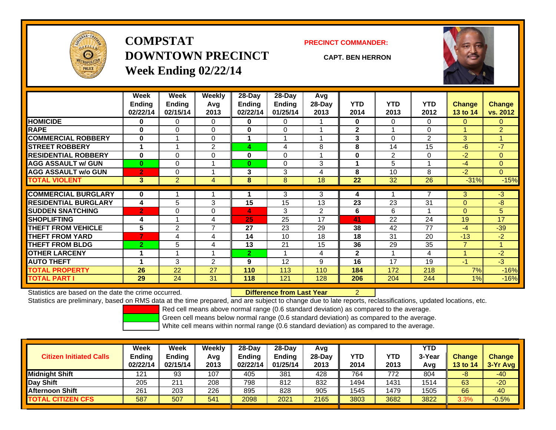

**COMPSTATDOWNTOWN PRECINCTWeek Ending 02/22/14**

#### **PRECINCT COMMANDER:**

**CAPT. BEN HERRON**



|                             | Week<br><b>Ending</b><br>02/22/14 | Week<br>Ending<br>02/15/14 | Weekly<br>Avq<br>2013 | $28-Day$<br><b>Ending</b><br>02/22/14 | $28$ -Day<br><b>Ending</b><br>01/25/14 | Avg<br>$28$ -Day<br>2013 | <b>YTD</b><br>2014 | <b>YTD</b><br>2013 | <b>YTD</b><br>2012 | <b>Change</b><br>13 to 14 | <b>Change</b><br>vs. 2012 |
|-----------------------------|-----------------------------------|----------------------------|-----------------------|---------------------------------------|----------------------------------------|--------------------------|--------------------|--------------------|--------------------|---------------------------|---------------------------|
| <b>HOMICIDE</b>             | 0                                 | 0                          | 0                     | 0                                     | 0                                      |                          | $\mathbf 0$        | $\Omega$           | 0                  | $\overline{0}$            | 0                         |
| <b>RAPE</b>                 | $\bf{0}$                          | 0                          | $\Omega$              | $\bf{0}$                              | $\Omega$                               |                          | $\mathbf{2}$       |                    | $\Omega$           |                           | 2 <sup>1</sup>            |
| <b>COMMERCIAL ROBBERY</b>   | $\bf{0}$                          |                            | $\mathbf 0$           |                                       | 1                                      |                          | 3                  | $\Omega$           | 2                  | $\mathbf{3}$              |                           |
| <b>STREET ROBBERY</b>       | 1                                 | 4                          | $\overline{2}$        | 4                                     | 4                                      | 8                        | 8                  | 14                 | 15                 | $-6$                      | $-7$                      |
| <b>RESIDENTIAL ROBBERY</b>  | $\bf{0}$                          | 0                          | $\Omega$              | 0                                     | $\Omega$                               |                          | $\bf{0}$           | $\overline{2}$     | $\Omega$           | $-2$                      | $\overline{0}$            |
| <b>AGG ASSAULT w/ GUN</b>   | $\bf{0}$                          | 0                          |                       | $\bf{0}$                              | $\Omega$                               | 3                        |                    | 5                  |                    | $-4$                      | $\overline{0}$            |
| <b>AGG ASSAULT w/o GUN</b>  | $\overline{2}$                    | 0                          |                       | 3                                     | 3                                      | 4                        | 8                  | 10                 | 8                  | $-2$                      | $\overline{0}$            |
| <b>TOTAL VIOLENT</b>        | 3                                 | $\overline{2}$             | 4                     | 8                                     | 8                                      | 18                       | 22                 | 32                 | 26                 | $-31%$                    | $-15%$                    |
| <b>COMMERCIAL BURGLARY</b>  | $\bf{0}$                          |                            |                       |                                       | 3                                      | 3                        | 4                  |                    | 7                  | 3                         | $-3$                      |
| <b>RESIDENTIAL BURGLARY</b> | 4                                 | 5                          | 3                     | 15                                    | 15                                     | 13                       | 23                 | 23                 | 31                 | $\mathbf{0}$              | -8                        |
| <b>SUDDEN SNATCHING</b>     | $\overline{2}$                    | 0                          | $\mathbf 0$           | 4                                     | 3                                      | $\overline{2}$           | 6                  | 6                  |                    | $\mathbf{0}$              | 5                         |
| <b>SHOPLIFTING</b>          | 4                                 |                            | 4                     | 25                                    | 25                                     | 17                       | 41                 | 22                 | 24                 | 19                        | 17                        |
| <b>THEFT FROM VEHICLE</b>   | 5                                 | $\overline{2}$             | $\overline{7}$        | 27                                    | 23                                     | 29                       | 38                 | 42                 | 77                 | $-4$                      | $-39$                     |
| <b>THEFT FROM YARD</b>      | 7                                 | 4                          | 4                     | 14                                    | 10                                     | 18                       | 18                 | 31                 | 20                 | $-13$                     | $-2$                      |
| <b>THEFT FROM BLDG</b>      | $\overline{2}$                    | 5                          | 4                     | 13                                    | 21                                     | 15                       | 36                 | 29                 | 35                 | $\overline{7}$            |                           |
| <b>OTHER LARCENY</b>        | 1                                 |                            |                       | $\overline{2}$                        |                                        | 4                        | $\mathbf{2}$       |                    | 4                  |                           | $-2$                      |
| <b>AUTO THEFT</b>           | 4                                 | 3                          | 2                     | 9                                     | 12                                     | 9                        | 16                 | 17                 | 19                 | $-1$                      | $-3$                      |
| <b>TOTAL PROPERTY</b>       | 26                                | 22                         | 27                    | 110                                   | 113                                    | 110                      | 184                | 172                | 218                | 7%                        | $-16%$                    |
| <b>TOTAL PART I</b>         | 29                                | 24                         | 31                    | 118                                   | 121                                    | 128                      | 206                | 204                | 244                | 1%                        | $-16%$                    |

Statistics are based on the date the crime occurred.

Difference from Last Year 2

Statistics are preliminary, based on RMS data at the time prepared, and are subject to change due to late reports, reclassifications, updated locations, etc.

Red cell means above normal range (0.6 standard deviation) as compared to the average.

Green cell means below normal range (0.6 standard deviation) as compared to the average.

| <b>Citizen Initiated Calls</b> | Week<br><b>Ending</b><br>02/22/14 | Week<br><b>Ending</b><br>02/15/14 | Weekly<br>Avg<br>2013 | $28-Day$<br><b>Ending</b><br>02/22/14 | 28-Day<br><b>Ending</b><br>01/25/14 | Avg<br>28-Dav<br>2013 | YTD<br>2014 | <b>YTD</b><br>2013 | <b>YTD</b><br>3-Year<br>Avg | <b>Change</b><br><b>13 to 14</b> | <b>Change</b><br>$3-Yr$ Avg |
|--------------------------------|-----------------------------------|-----------------------------------|-----------------------|---------------------------------------|-------------------------------------|-----------------------|-------------|--------------------|-----------------------------|----------------------------------|-----------------------------|
| <b>Midnight Shift</b>          | 121                               | 93                                | 107                   | 405                                   | 381                                 | 428                   | 764         | 772                | 804                         | -8                               | $-40$                       |
| Day Shift                      | 205                               | $21^{\circ}$                      | 208                   | 798                                   | 812                                 | 832                   | 1494        | 1431               | 1514                        | 63                               | $-20$                       |
| <b>Afternoon Shift</b>         | 261                               | 203                               | 226                   | 895                                   | 828                                 | 905                   | 1545        | 1479               | 1505                        | 66                               | 40                          |
| <b>TOTAL CITIZEN CFS</b>       | 587                               | 507                               | 541                   | 2098                                  | 2021                                | 2165                  | 3803        | 3682               | 3822                        | 3.3%                             | $-0.5%$                     |
|                                |                                   |                                   |                       |                                       |                                     |                       |             |                    |                             |                                  |                             |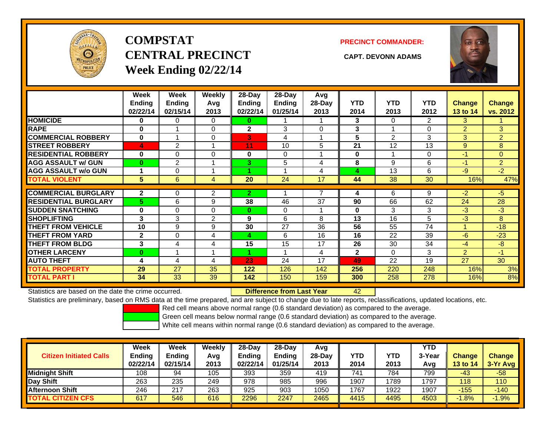

**COMPSTATCENTRAL PRECINCT CAPT. DEVONN ADAMSWeek Ending 02/22/14**



|                             | Week<br>Ending<br>02/22/14 | Week<br><b>Ending</b><br>02/15/14 | Weekly<br>Avg<br>2013 | $28-Day$<br>Endina<br>02/22/14 | 28-Dav<br><b>Ending</b><br>01/25/14 | Avg<br>28-Day<br>2013 | <b>YTD</b><br>2014 | <b>YTD</b><br>2013 | <b>YTD</b><br>2012 | <b>Change</b><br>13 to 14 | Change<br>vs. 2012 |
|-----------------------------|----------------------------|-----------------------------------|-----------------------|--------------------------------|-------------------------------------|-----------------------|--------------------|--------------------|--------------------|---------------------------|--------------------|
| <b>HOMICIDE</b>             | 0                          | 0                                 | 0                     | 0                              |                                     |                       | 3                  | $\Omega$           | 2                  | 3                         |                    |
| <b>RAPE</b>                 | $\bf{0}$                   |                                   | $\Omega$              | $\overline{2}$                 | 3                                   | $\Omega$              | 3                  |                    | $\Omega$           | $\overline{2}$            | 3                  |
| <b>COMMERCIAL ROBBERY</b>   | $\bf{0}$                   |                                   | 0                     | 3                              | 4                                   |                       | 5                  | 2                  | 3                  | 3                         | $\overline{2}$     |
| <b>STREET ROBBERY</b>       | $\blacktriangle$           | $\overline{2}$                    | 1                     | 11                             | 10                                  | 5                     | 21                 | 12                 | 13                 | 9                         | 8                  |
| <b>RESIDENTIAL ROBBERY</b>  | $\bf{0}$                   | 0                                 | $\Omega$              | $\bf{0}$                       | 0                                   |                       | $\bf{0}$           |                    | 0                  | $-1$                      | $\overline{0}$     |
| <b>AGG ASSAULT w/ GUN</b>   | $\bf{0}$                   | $\overline{2}$                    | 1                     | 3                              | 5                                   | 4                     | 8                  | 9                  | 6                  | $-1$                      | $\overline{2}$     |
| <b>AGG ASSAULT w/o GUN</b>  |                            | 0                                 | 4                     |                                |                                     | 4                     | 4                  | 13                 | 6                  | $-9$                      | $-2$               |
| <b>TOTAL VIOLENT</b>        | 5                          | 6                                 | 4                     | 20                             | 24                                  | 17                    | 44                 | 38                 | 30                 | 16%                       | 47%                |
|                             |                            |                                   |                       |                                |                                     |                       |                    |                    |                    |                           |                    |
| <b>COMMERCIAL BURGLARY</b>  | $\mathbf{2}$               | 0                                 | 2                     | 2                              |                                     |                       | 4                  | 6                  | 9                  | $-2$                      | $-5$               |
| <b>RESIDENTIAL BURGLARY</b> | 5                          | 6                                 | 9                     | 38                             | 46                                  | 37                    | 90                 | 66                 | 62                 | 24                        | 28                 |
| <b>SUDDEN SNATCHING</b>     | $\bf{0}$                   | 0                                 | $\Omega$              | $\bf{0}$                       | 0                                   |                       | $\bf{0}$           | 3                  | 3                  | $-3$                      | $-3$               |
| <b>SHOPLIFTING</b>          | 3                          | 3                                 | 2                     | 9                              | 6                                   | 8                     | 13                 | 16                 | 5                  | $-3$                      | 8                  |
| <b>THEFT FROM VEHICLE</b>   | 10                         | 9                                 | 9                     | 30                             | 27                                  | 36                    | 56                 | 55                 | 74                 | и                         | $-18$              |
| <b>THEFT FROM YARD</b>      | $\mathbf{2}$               | 0                                 | 4                     | 4                              | 6                                   | 16                    | 16                 | 22                 | 39                 | $-6$                      | $-23$              |
| <b>THEFT FROM BLDG</b>      | 3                          | 4                                 | 4                     | 15                             | 15                                  | 17                    | 26                 | 30                 | 34                 | $-4$                      | $-8$               |
| <b>OTHER LARCENY</b>        | $\bf{0}$                   |                                   | 1                     |                                | $\overline{\phantom{a}}$            | 4                     | $\mathbf{2}$       | $\Omega$           | 3                  | $\overline{2}$            | $-1/$              |
| <b>AUTO THEFT</b>           | 4                          | 4                                 | 4                     | 23                             | 24                                  | 17                    | 49                 | 22                 | 19                 | 27                        | 30                 |
| <b>TOTAL PROPERTY</b>       | 29                         | 27                                | 35                    | 122                            | 126                                 | 142                   | 256                | 220                | 248                | 16%                       | 3%                 |
| <b>TOTAL PART I</b>         | 34                         | 33                                | 39                    | 142                            | 150                                 | 159                   | 300                | 258                | 278                | 16%                       | 8%                 |

Statistics are based on the date the crime occurred. **Difference from Last Year** 

42

Statistics are preliminary, based on RMS data at the time prepared, and are subject to change due to late reports, reclassifications, updated locations, etc.

Red cell means above normal range (0.6 standard deviation) as compared to the average.

Green cell means below normal range (0.6 standard deviation) as compared to the average.

| <b>Citizen Initiated Calls</b> | Week<br><b>Ending</b><br>02/22/14 | Week<br>Ending<br>02/15/14 | Weeklv<br>Avg<br>2013 | $28-Dav$<br><b>Ending</b><br>02/22/14 | 28-Dav<br><b>Ending</b><br>01/25/14 | Avg<br>$28-Day$<br>2013 | YTD<br>2014 | <b>YTD</b><br>2013 | <b>YTD</b><br>3-Year<br>Avg | <b>Change</b><br><b>13 to 14</b> | <b>Change</b><br>3-Yr Avg |
|--------------------------------|-----------------------------------|----------------------------|-----------------------|---------------------------------------|-------------------------------------|-------------------------|-------------|--------------------|-----------------------------|----------------------------------|---------------------------|
| <b>Midnight Shift</b>          | 108                               | 94                         | 105                   | 393                                   | 359                                 | 419                     | 741         | 784                | 799                         | $-43$                            | $-58$                     |
| Day Shift                      | 263                               | 235                        | 249                   | 978                                   | 985                                 | 996                     | 1907        | 1789               | 1797                        | 118                              | 110                       |
| <b>Afternoon Shift</b>         | 246                               | 217                        | 263                   | 925                                   | 903                                 | 1050                    | 1767        | 1922               | 1907                        | $-155$                           | $-140$                    |
| <b>TOTAL CITIZEN CFS</b>       | 617                               | 546                        | 616                   | 2296                                  | 2247                                | 2465                    | 4415        | 4495               | 4503                        | $-1.8%$                          | .9%                       |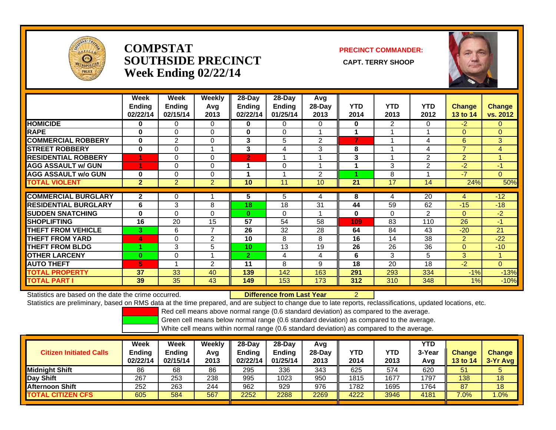

### **COMPSTATSOUTHSIDE PRECINCT** CAPT. TERRY SHOOP **Week Ending 02/22/14**

**PRECINCT COMMANDER:**



|                             | Week<br><b>Ending</b><br>02/22/14 | Week<br><b>Ending</b><br>02/15/14 | Weekly<br>Avg<br>2013 | $28$ -Day<br>Ending<br>02/22/14 | $28$ -Day<br><b>Ending</b><br>01/25/14 | Avg<br>28-Day<br>2013 | <b>YTD</b><br>2014 | <b>YTD</b><br>2013 | <b>YTD</b><br>2012 | <b>Change</b><br>13 to 14 | Change<br>vs. 2012 |
|-----------------------------|-----------------------------------|-----------------------------------|-----------------------|---------------------------------|----------------------------------------|-----------------------|--------------------|--------------------|--------------------|---------------------------|--------------------|
| <b>HOMICIDE</b>             | 0                                 | 0                                 | 0                     | 0                               | 0                                      | $\Omega$              | 0                  | $\overline{2}$     | 0                  | $-2$                      | 0                  |
| <b>RAPE</b>                 | 0                                 | 0                                 | $\mathbf 0$           | $\mathbf 0$                     | 0                                      |                       | 1                  |                    |                    | $\Omega$                  | $\overline{0}$     |
| <b>COMMERCIAL ROBBERY</b>   | $\bf{0}$                          | $\overline{2}$                    | $\Omega$              | 3                               | 5                                      | 2                     | $\overline{7}$     |                    | 4                  | 6                         | 3                  |
| <b>STREET ROBBERY</b>       | $\bf{0}$                          | 0                                 |                       | 3                               | 4                                      | 3                     | 8                  |                    | 4                  | $\overline{7}$            | 4                  |
| <b>RESIDENTIAL ROBBERY</b>  |                                   | 0                                 | $\Omega$              | $\overline{2}$                  |                                        |                       | 3                  |                    | 2                  | $\overline{2}$            |                    |
| <b>AGG ASSAULT w/ GUN</b>   | и                                 | 0                                 | $\mathbf{0}$          |                                 | 0                                      |                       |                    | 3                  | 2                  | $-2$                      | $-1$               |
| <b>AGG ASSAULT w/o GUN</b>  | $\bf{0}$                          | 0                                 | $\mathbf 0$           |                                 |                                        | $\overline{2}$        | л                  | 8                  |                    | $-7$                      | $\overline{0}$     |
| <b>TOTAL VIOLENT</b>        | $\overline{2}$                    | $\overline{2}$                    | $\overline{2}$        | 10                              | 11                                     | 10                    | 21                 | 17                 | 14                 | 24%                       | 50%                |
|                             |                                   |                                   |                       |                                 |                                        |                       |                    |                    |                    |                           |                    |
| <b>COMMERCIAL BURGLARY</b>  | $\mathbf{2}$                      | 0                                 |                       | 5                               | 5                                      | 4                     | 8                  | 4                  | 20                 | 4                         | $-12$              |
| <b>RESIDENTIAL BURGLARY</b> | 6                                 | 3                                 | 8                     | 18                              | 18                                     | 31                    | 44                 | 59                 | 62                 | $-15$                     | $-18$              |
| <b>ISUDDEN SNATCHING</b>    | $\bf{0}$                          | 0                                 | $\mathbf{0}$          | $\bf{0}$                        | 0                                      |                       | $\bf{0}$           | $\Omega$           | 2                  | $\Omega$                  | $-2$               |
| <b>SHOPLIFTING</b>          | 16                                | 20                                | 15                    | 57                              | 54                                     | 58                    | 109                | 83                 | 110                | 26                        | $-1$               |
| <b>THEFT FROM VEHICLE</b>   | 3                                 | 6                                 | 7                     | 26                              | 32                                     | 28                    | 64                 | 84                 | 43                 | $-20$                     | 21                 |
| <b>THEFT FROM YARD</b>      | 4                                 | 0                                 | $\overline{2}$        | 10                              | 8                                      | 8                     | 16                 | 14                 | 38                 | $\overline{2}$            | $-22$              |
| <b>THEFT FROM BLDG</b>      | A.                                | 3                                 | 5                     | 10                              | 13                                     | 19                    | 26                 | 26                 | 36                 | $\Omega$                  | $-10$              |
| <b>OTHER LARCENY</b>        | $\bf{0}$                          | 0                                 |                       | $\overline{2}$                  | 4                                      | 4                     | 6                  | 3                  | 5                  | 3                         | 1                  |
| <b>AUTO THEFT</b>           | 5                                 |                                   | $\overline{2}$        | 11                              | 8                                      | 9                     | 18                 | 20                 | 18                 | $-2$                      | $\Omega$           |
| <b>TOTAL PROPERTY</b>       | 37                                | 33                                | 40                    | 139                             | 142                                    | 163                   | 291                | 293                | 334                | $-1%$                     | $-13%$             |
| <b>TOTAL PART I</b>         | 39                                | 35                                | 43                    | 149                             | 153                                    | 173                   | 312                | 310                | 348                | $1\%$                     | $-10%$             |

Statistics are based on the date the crime occurred. **Difference from Last Year** 

2

Statistics are preliminary, based on RMS data at the time prepared, and are subject to change due to late reports, reclassifications, updated locations, etc.

Red cell means above normal range (0.6 standard deviation) as compared to the average.

Green cell means below normal range (0.6 standard deviation) as compared to the average.

| <b>Citizen Initiated Calls</b> | Week<br><b>Ending</b><br>02/22/14 | <b>Week</b><br><b>Ending</b><br>02/15/14 | Weekly<br>Avg<br>2013 | $28-Dav$<br><b>Ending</b><br>02/22/14 | $28-Dav$<br>Ending<br>01/25/14 | Avg<br>$28-Dav$<br>2013 | YTD<br>2014 | YTD<br>2013 | <b>YTD</b><br>3-Year<br>Avg | <b>Change</b><br><b>13 to 14</b> | <b>Change</b><br>3-Yr Avg |
|--------------------------------|-----------------------------------|------------------------------------------|-----------------------|---------------------------------------|--------------------------------|-------------------------|-------------|-------------|-----------------------------|----------------------------------|---------------------------|
| <b>Midnight Shift</b>          | 86                                | 68                                       | 86                    | 295                                   | 336                            | 343                     | 625         | 574         | 620                         | 51                               |                           |
| Day Shift                      | 267                               | 253                                      | 238                   | 995                                   | 1023                           | 950                     | 1815        | 1677        | 1797                        | 138                              | 18                        |
| <b>Afternoon Shift</b>         | 252                               | 263                                      | 244                   | 962                                   | 929                            | 976                     | 1782        | 1695        | 1764                        | 87                               | 18                        |
| <b>TOTAL CITIZEN CFS</b>       | 605                               | 584                                      | 567                   | 2252                                  | 2288                           | 2269                    | 4222        | 3946        | 4181                        | 7.0%                             | .0%                       |